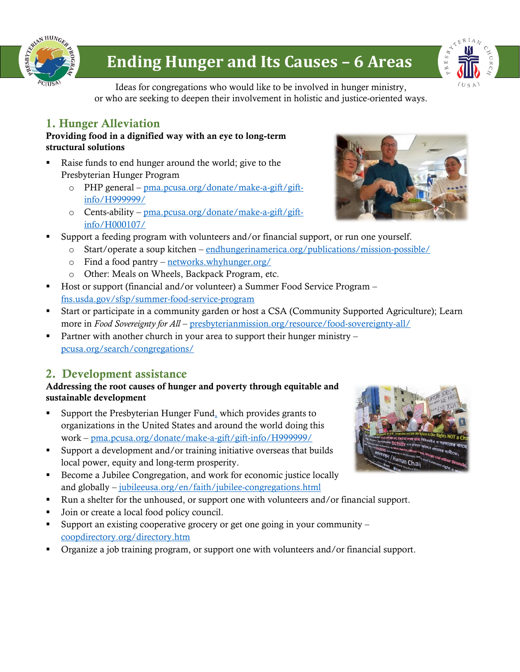

# **Ending Hunger and Its Causes – 6 Areas**



Ideas for congregations who would like to be involved in hunger ministry, or who are seeking to deepen their involvement in holistic and justice-oriented ways.

# 1. Hunger Alleviation

#### Providing food in a dignified way with an eye to long-term structural solutions

- Raise funds to end hunger around the world; give to the Presbyterian Hunger Program
	- o PHP general [pma.pcusa.org/donate/make-a-gift/gift](https://pma.pcusa.org/donate/make-a-gift/gift-info/H999999/)[info/H999999/](https://pma.pcusa.org/donate/make-a-gift/gift-info/H999999/)
	- o Cents-ability [pma.pcusa.org/donate/make-a-gift/gift](https://pma.pcusa.org/donate/make-a-gift/gift-info/H000107/)[info/H000107/](https://pma.pcusa.org/donate/make-a-gift/gift-info/H000107/)
- Support a feeding program with volunteers and/or financial support, or run one yourself.
	- o Start/operate a soup kitchen [endhungerinamerica.org/publications/mission-possible/](https://www.endhungerinamerica.org/publications/mission-possible/)
		- o Find a food pantry [networks.whyhunger.org/](https://networks.whyhunger.org/)
		- o Other: Meals on Wheels, Backpack Program, etc.
- Host or support (financial and/or volunteer) a Summer Food Service Program [fns.usda.gov/sfsp/summer-food-service-program](https://www.fns.usda.gov/sfsp/summer-food-service-program)
- Start or participate in a community garden or host a CSA (Community Supported Agriculture); Learn more in *Food Sovereignty for All* – [presbyterianmission.org/resource/food-sovereignty-all/](http://www.presbyterianmission.org/resource/food-sovereignty-all/)
- **•** Partner with another church in your area to support their hunger ministry [pcusa.org/search/congregations/](http://www.pcusa.org/search/congregations/)

# 2. Development assistance

#### Addressing the root causes of hunger and poverty through equitable and sustainable development

- Support the Presbyterian Hunger Fund, which provides grants to organizations in the United States and around the world doing this work – <pma.pcusa.org/donate/make-a-gift/gift-info/H999999/>
- Support a development and/or training initiative overseas that builds local power, equity and long-term prosperity.
- Become a Jubilee Congregation, and work for economic justice locally and globally – [jubileeusa.org/en/faith/jubilee-congregations.html](http://www.jubileeusa.org/en/faith/jubilee-congregations.html)
- Run a shelter for the unhoused, or support one with volunteers and/or financial support.
- Join or create a local food policy council.
- Support an existing cooperative grocery or get one going in your community  $$ [coopdirectory.org/directory.htm](http://www.coopdirectory.org/directory.htm)
- Organize a job training program, or support one with volunteers and/or financial support.



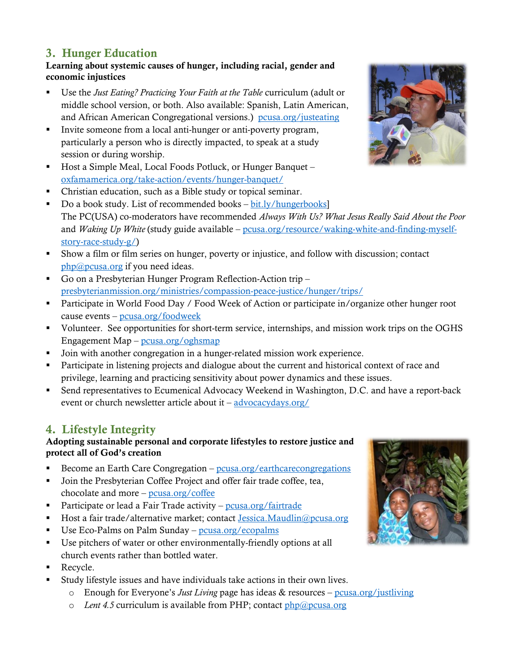## 3. Hunger Education

Learning about systemic causes of hunger, including racial, gender and economic injustices

- Use the *[Just Eating?](http://pcusa.org/justeating) Practicing Your Faith at the Table* curriculum (adult or middle school version, or both. Also available: Spanish, Latin American, and African American Congregational versions.) [pcusa.org/justeating](http://www.pcusa.org/justeating)
- Invite someone from a local anti-hunger or anti-poverty program, particularly a person who is directly impacted, to speak at a study session or during worship.
- Host a Simple Meal, Local Foods Potluck, or Hunger Banquet [oxfamamerica.org/take-action/events/hunger-banquet/](http://www.oxfamamerica.org/take-action/events/hunger-banquet/)
- Christian education, such as a Bible study or topical seminar.
- $\blacksquare$  Do a book study. List of recommended books [bit.ly/hungerbooks\]](http://bit.ly/hungerbooks) The PC(USA) co-moderators have recommended *Always With Us? What Jesus Really Said About the Poor* and *Waking Up White* (study guide available – [pcusa.org/resource/waking-white-and-finding-myself](http://www.pcusa.org/resource/waking-white-and-finding-myself-story-race-study-g/)[story-race-study-g/\)](http://www.pcusa.org/resource/waking-white-and-finding-myself-story-race-study-g/)
- Show a film or film series on hunger, poverty or injustice, and follow with discussion; contact [php@pcusa.org](mailto:php@pcusa.org) if you need ideas.
- Go on a Presbyterian Hunger Program Reflection-Action trip [presbyterianmission.org/ministries/compassion-peace-justice/hunger/trips/](http://www.presbyterianmission.org/ministries/compassion-peace-justice/hunger/trips/)
- Participate in World Food Day / Food Week of Action or participate in/organize other hunger root cause events – [pcusa.org/foodweek](http://www.pcusa.org/foodweek)
- Volunteer. See opportunities for short-term service, internships, and mission work trips on the OGHS Engagement Map – [pcusa.org/oghsmap](http://www.pcusa.org/oghsmap)
- Join with another congregation in a hunger-related mission work experience.
- Participate in listening projects and dialogue about the current and historical context of race and privilege, learning and practicing sensitivity about power dynamics and these issues.
- Send representatives to Ecumenical Advocacy Weekend in Washington, D.C. and have a report-back event or church newsletter article about it – [advocacydays.org/](https://advocacydays.org/)

## 4. Lifestyle Integrity

### Adopting sustainable personal and corporate lifestyles to restore justice and protect all of God's creation

- Become an Earth Care Congregation  $-\frac{p}{\cos\theta}$  earthcarecongregations
- Join the Presbyterian Coffee Project and offer fair trade coffee, tea, chocolate and more – [pcusa.org/coffee](http://www.pcusa.org/coffee)
- Participate or lead a Fair Trade activity [pcusa.org/fairtrade](http://www.pcusa.org/fairtrade)
- Host a fair trade/alternative market; contact [Jessica.Maudlin@pcusa.org](mailto:Jessica.Maudlin@pcusa.org)
- Use Eco-Palms on Palm Sunday [pcusa.org/ecopalms](http://www.pcusa.org/ecopalms)
- Use pitchers of water or other environmentally-friendly options at all church events rather than bottled water.
- Recycle.
- Study lifestyle issues and have individuals take actions in their own lives.
	- o Enough for Everyone's *Just Living* page has ideas & resources [pcusa.org/justliving](http://www.pcusa.org/justliving)
	- o *Lent 4.5* curriculum is available from PHP; contact [php@pcusa.org](mailto:php@pcusa.org)